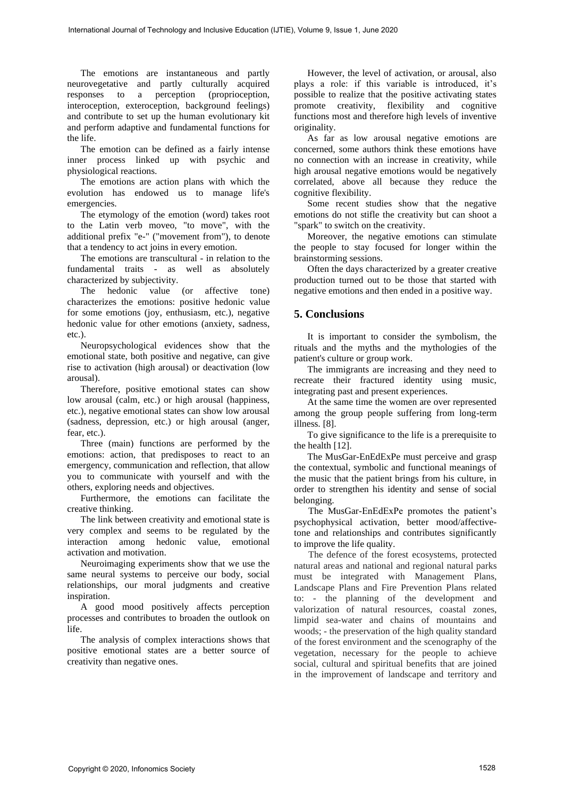The emotions are instantaneous and partly neurovegetative and partly culturally acquired responses to a perception (proprioception, interoception, exteroception, background feelings) and contribute to set up the human evolutionary kit and perform adaptive and fundamental functions for the life.

The emotion can be defined as a fairly intense inner process linked up with psychic and physiological reactions.

The emotions are action plans with which the evolution has endowed us to manage life's emergencies.

The etymology of the emotion (word) takes root to the Latin verb moveo, "to move", with the additional prefix "e-" ("movement from"), to denote that a tendency to act joins in every emotion.

The emotions are transcultural - in relation to the fundamental traits - as well as absolutely characterized by subjectivity.

The hedonic value (or affective tone) characterizes the emotions: positive hedonic value for some emotions (joy, enthusiasm, etc.), negative hedonic value for other emotions (anxiety, sadness, etc.).

Neuropsychological evidences show that the emotional state, both positive and negative, can give rise to activation (high arousal) or deactivation (low arousal).

Therefore, positive emotional states can show low arousal (calm, etc.) or high arousal (happiness, etc.), negative emotional states can show low arousal (sadness, depression, etc.) or high arousal (anger, fear, etc.).

Three (main) functions are performed by the emotions: action, that predisposes to react to an emergency, communication and reflection, that allow you to communicate with yourself and with the others, exploring needs and objectives.

Furthermore, the emotions can facilitate the creative thinking.

The link between creativity and emotional state is very complex and seems to be regulated by the interaction among hedonic value, emotional activation and motivation.

Neuroimaging experiments show that we use the same neural systems to perceive our body, social relationships, our moral judgments and creative inspiration.

A good mood positively affects perception processes and contributes to broaden the outlook on life.

The analysis of complex interactions shows that positive emotional states are a better source of creativity than negative ones.

However, the level of activation, or arousal, also plays a role: if this variable is introduced, it's possible to realize that the positive activating states promote creativity, flexibility and cognitive functions most and therefore high levels of inventive originality.

As far as low arousal negative emotions are concerned, some authors think these emotions have no connection with an increase in creativity, while high arousal negative emotions would be negatively correlated, above all because they reduce the cognitive flexibility.

Some recent studies show that the negative emotions do not stifle the creativity but can shoot a "spark" to switch on the creativity.

Moreover, the negative emotions can stimulate the people to stay focused for longer within the brainstorming sessions.

Often the days characterized by a greater creative production turned out to be those that started with negative emotions and then ended in a positive way.

## **5. Conclusions**

It is important to consider the symbolism, the rituals and the myths and the mythologies of the patient's culture or group work.

The immigrants are increasing and they need to recreate their fractured identity using music, integrating past and present experiences.

At the same time the women are over represented among the group people suffering from long-term illness. [8].

To give significance to the life is a prerequisite to the health [12].

The MusGar-EnEdExPe must perceive and grasp the contextual, symbolic and functional meanings of the music that the patient brings from his culture, in order to strengthen his identity and sense of social belonging.

 The MusGar-EnEdExPe promotes the patient's psychophysical activation, better mood/affectivetone and relationships and contributes significantly to improve the life quality.

 The defence of the forest ecosystems, protected natural areas and national and regional natural parks must be integrated with Management Plans, Landscape Plans and Fire Prevention Plans related to: - the planning of the development and valorization of natural resources, coastal zones, limpid sea-water and chains of mountains and woods; - the preservation of the high quality standard of the forest environment and the scenography of the vegetation, necessary for the people to achieve social, cultural and spiritual benefits that are joined in the improvement of landscape and territory and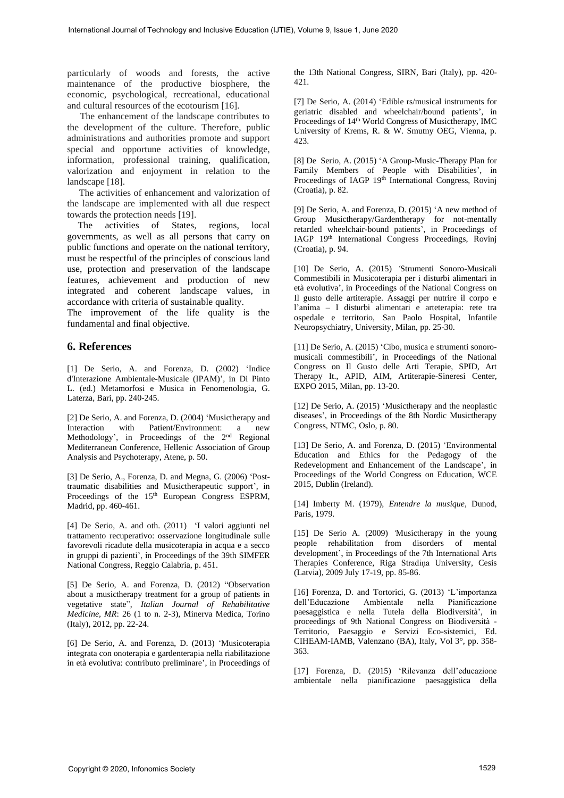particularly of woods and forests, the active maintenance of the productive biosphere, the economic, psychological, recreational, educational and cultural resources of the ecotourism [16].

 The enhancement of the landscape contributes to the development of the culture. Therefore, public administrations and authorities promote and support special and opportune activities of knowledge, information, professional training, qualification, valorization and enjoyment in relation to the landscape [18].

 The activities of enhancement and valorization of the landscape are implemented with all due respect towards the protection needs [19].

 The activities of States, regions, local governments, as well as all persons that carry on public functions and operate on the national territory, must be respectful of the principles of conscious land use, protection and preservation of the landscape features, achievement and production of new integrated and coherent landscape values, in accordance with criteria of sustainable quality.

The improvement of the life quality is the fundamental and final objective.

## **6. References**

[1] De Serio, A. and Forenza, D. (2002) 'Indice d'Interazione Ambientale-Musicale (IPAM)'*,* in Di Pinto L. (ed.) Metamorfosi e Musica in Fenomenologia*,* G. Laterza, Bari, pp. 240-245.

[2] De Serio, A. and Forenza, D. (2004) 'Musictherapy and Interaction with Patient/Environment: a new Methodology', in Proceedings of the 2nd Regional Mediterranean Conference, Hellenic Association of Group Analysis and Psychoterapy, Atene, p. 50.

[3] De Serio, A., Forenza, D. and Megna, G. (2006) 'Posttraumatic disabilities and Musictherapeutic support'*,* in Proceedings of the 15<sup>th</sup> European Congress ESPRM, Madrid, pp. 460-461.

[4] De Serio, A. and oth. (2011) 'I valori aggiunti nel trattamento recuperativo: osservazione longitudinale sulle favorevoli ricadute della musicoterapia in acqua e a secco in gruppi di pazienti', in Proceedings of the 39th SIMFER National Congress, Reggio Calabria, p. 451.

[5] De Serio, A. and Forenza, D. (2012) "Observation about a musictherapy treatment for a group of patients in vegetative state", *Italian Journal of Rehabilitative Medicine, MR*: 26 (1 to n. 2-3), Minerva Medica, Torino (Italy), 2012, pp. 22-24.

[6] De Serio, A. and Forenza, D. (2013) 'Musicoterapia integrata con onoterapia e gardenterapia nella riabilitazione in età evolutiva: contributo preliminare', in Proceedings of the 13th National Congress, SIRN, Bari (Italy), pp. 420- 421.

[7] De Serio, A. (2014) 'Edible rs/musical instruments for geriatric disabled and wheelchair/bound patients', in Proceedings of 14th World Congress of Musictherapy, IMC University of Krems, R. & W. Smutny OEG, Vienna, p. 423.

[8] De Serio, A. (2015) 'A Group-Music-Therapy Plan for Family Members of People with Disabilities', in Proceedings of IAGP 19<sup>th</sup> International Congress, Rovinj (Croatia), p. 82.

[9] De Serio, A. and Forenza, D. (2015) 'A new method of Group Musictherapy/Gardentherapy for not-mentally retarded wheelchair-bound patients', in Proceedings of IAGP 19th International Congress Proceedings, Rovinj (Croatia), p. 94.

[10] De Serio, A. (2015) *'*Strumenti Sonoro-Musicali Commestibili in Musicoterapia per i disturbi alimentari in età evolutiva', in Proceedings of the National Congress on Il gusto delle artiterapie. Assaggi per nutrire il corpo e l'anima – I disturbi alimentari e arteterapia: rete tra ospedale e territorio, San Paolo Hospital, Infantile Neuropsychiatry, University, Milan, pp. 25-30.

[11] De Serio, A. (2015) 'Cibo, musica e strumenti sonoromusicali commestibili', in Proceedings of the National Congress on Il Gusto delle Arti Terapie, SPID, Art Therapy It., APID, AIM, Artiterapie-Sineresi Center, EXPO 2015, Milan, pp. 13-20.

[12] De Serio, A. (2015) 'Musictherapy and the neoplastic diseases', in Proceedings of the 8th Nordic Musictherapy Congress, NTMC, Oslo, p. 80.

[13] De Serio, A. and Forenza, D. (2015) 'Environmental Education and Ethics for the Pedagogy of the Redevelopment and Enhancement of the Landscape', in Proceedings of the World Congress on Education, WCE 2015, Dublin (Ireland).

[14] Imberty M. (1979), *Entendre la musique,* Dunod, Paris, 1979.

[15] De Serio A. (2009) *'*Musictherapy in the young people rehabilitation from disorders of mental development', in Proceedings of the 7th International Arts Therapies Conference, Riga Stradiņa University, Cesis (Latvia), 2009 July 17-19, pp. 85-86.

[16] Forenza, D. and Tortorici, G. (2013) 'L'importanza dell'Educazione Ambientale nella Pianificazione paesaggistica e nella Tutela della Biodiversità', in proceedings of 9th National Congress on Biodiversità - Territorio, Paesaggio e Servizi Eco-sistemici, Ed. CIHEAM-IAMB, Valenzano (BA), Italy, Vol 3°, pp. 358- 363.

[17] Forenza, D. (2015) 'Rilevanza dell'educazione ambientale nella pianificazione paesaggistica della